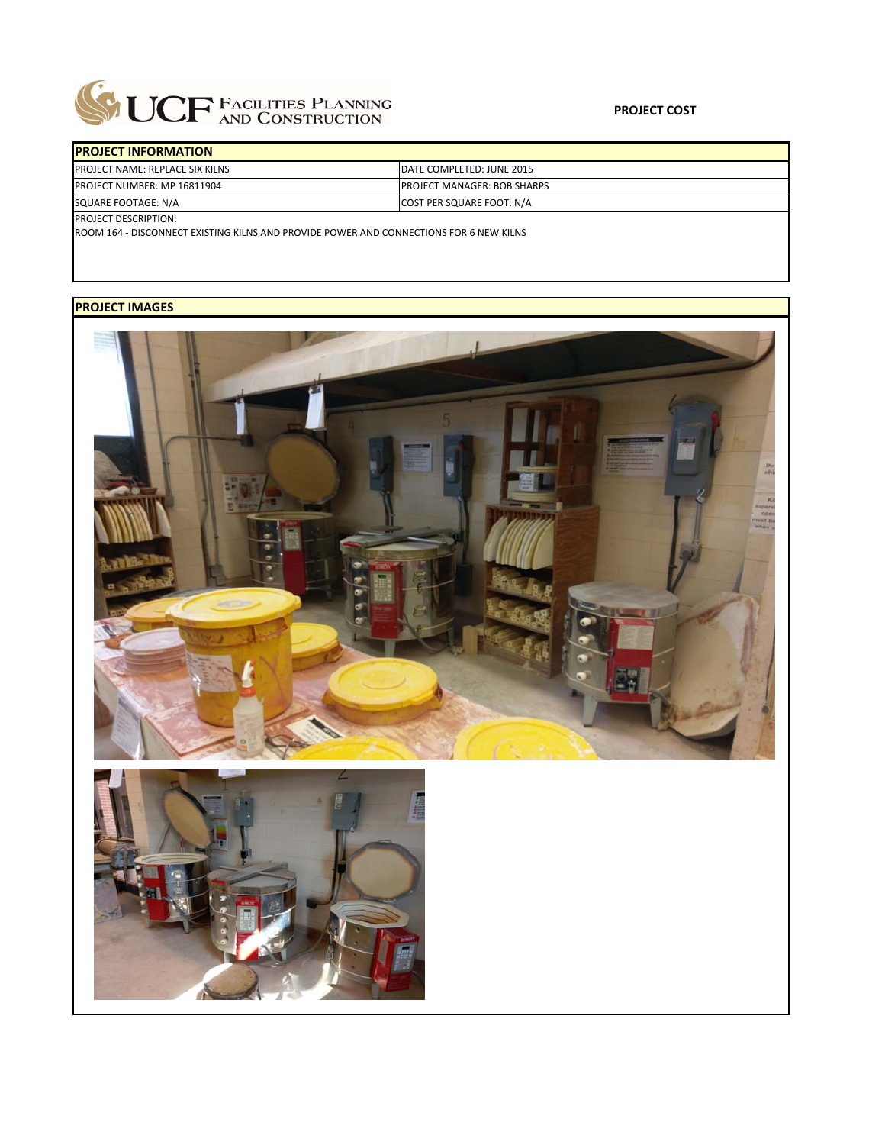

| <b>PROJECT INFORMATION</b>      |                                    |
|---------------------------------|------------------------------------|
| PROJECT NAME: REPLACE SIX KILNS | DATE COMPLETED: JUNE 2015          |
| PROJECT NUMBER: MP 16811904     | <b>PROJECT MANAGER: BOB SHARPS</b> |
| SQUARE FOOTAGE: N/A             | <b>COST PER SQUARE FOOT: N/A</b>   |
| PROJECT DESCRIPTION:            |                                    |

ROOM 164 ‐ DISCONNECT EXISTING KILNS AND PROVIDE POWER AND CONNECTIONS FOR 6 NEW KILNS

## **PROJECT IMAGES**